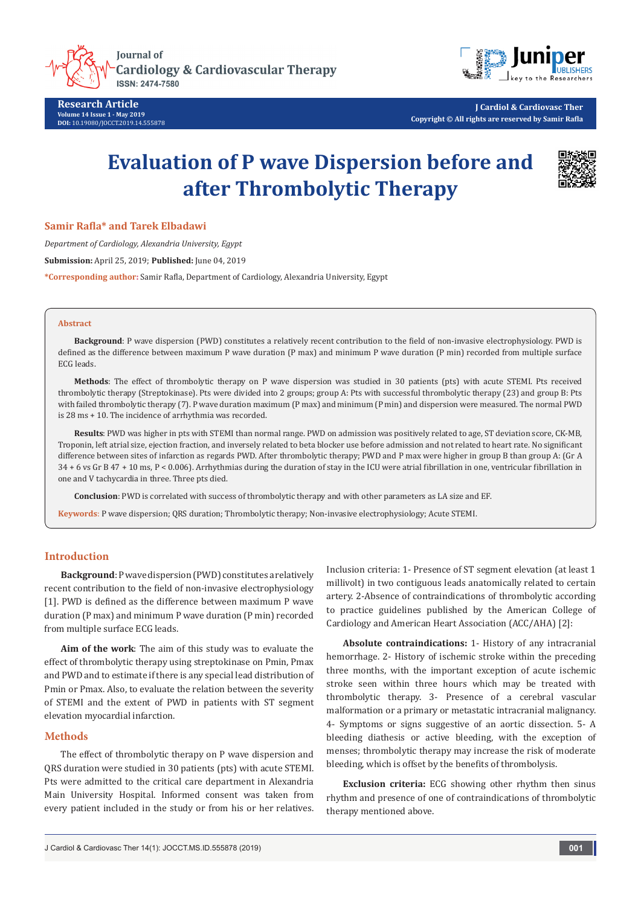

**Research Article Volume 14 Issue 1 - May 2019 DOI:** [10.19080/JOCCT.2019.14.555878](http://dx.doi.org/10.19080/JOCCT.2019.14.555878)



**J Cardiol & Cardiovasc Ther Copyright © All rights are reserved by Samir Rafla**

# **Evaluation of P wave Dispersion before and after Thrombolytic Therapy**



**Samir Rafla\* and Tarek Elbadawi**

*Department of Cardiology, Alexandria University, Egypt*

**Submission:** April 25, 2019; **Published:** June 04, 2019

**\*Corresponding author:** Samir Rafla, Department of Cardiology, Alexandria University, Egypt

#### **Abstract**

**Background**: P wave dispersion (PWD) constitutes a relatively recent contribution to the field of non-invasive electrophysiology. PWD is defined as the difference between maximum P wave duration (P max) and minimum P wave duration (P min) recorded from multiple surface ECG leads.

**Methods**: The effect of thrombolytic therapy on P wave dispersion was studied in 30 patients (pts) with acute STEMI. Pts received thrombolytic therapy (Streptokinase). Pts were divided into 2 groups; group A: Pts with successful thrombolytic therapy (23) and group B: Pts with failed thrombolytic therapy (7). P wave duration maximum (P max) and minimum (P min) and dispersion were measured. The normal PWD is 28 ms + 10. The incidence of arrhythmia was recorded.

**Results**: PWD was higher in pts with STEMI than normal range. PWD on admission was positively related to age, ST deviation score, CK-MB, Troponin, left atrial size, ejection fraction, and inversely related to beta blocker use before admission and not related to heart rate. No significant difference between sites of infarction as regards PWD. After thrombolytic therapy; PWD and P max were higher in group B than group A: (Gr A 34 + 6 vs Gr B 47 + 10 ms, P < 0.006). Arrhythmias during the duration of stay in the ICU were atrial fibrillation in one, ventricular fibrillation in one and V tachycardia in three. Three pts died.

**Conclusion**: PWD is correlated with success of thrombolytic therapy and with other parameters as LA size and EF.

**Keywords**: P wave dispersion; QRS duration; Thrombolytic therapy; Non-invasive electrophysiology; Acute STEMI.

## **Introduction**

**Background**: P wave dispersion (PWD) constitutes a relatively recent contribution to the field of non-invasive electrophysiology [1]. PWD is defined as the difference between maximum P wave duration (P max) and minimum P wave duration (P min) recorded from multiple surface ECG leads.

**Aim of the work**: The aim of this study was to evaluate the effect of thrombolytic therapy using streptokinase on Pmin, Pmax and PWD and to estimate if there is any special lead distribution of Pmin or Pmax. Also, to evaluate the relation between the severity of STEMI and the extent of PWD in patients with ST segment elevation myocardial infarction.

## **Methods**

The effect of thrombolytic therapy on P wave dispersion and QRS duration were studied in 30 patients (pts) with acute STEMI. Pts were admitted to the critical care department in Alexandria Main University Hospital. Informed consent was taken from every patient included in the study or from his or her relatives.

Inclusion criteria: 1- Presence of ST segment elevation (at least 1 millivolt) in two contiguous leads anatomically related to certain artery. 2-Absence of contraindications of thrombolytic according to practice guidelines published by the American College of Cardiology and American Heart Association (ACC/AHA) [2]:

**Absolute contraindications:** 1- History of any intracranial hemorrhage. 2- History of ischemic stroke within the preceding three months, with the important exception of acute ischemic stroke seen within three hours which may be treated with thrombolytic therapy. 3- Presence of a cerebral vascular malformation or a primary or metastatic intracranial malignancy. 4- Symptoms or signs suggestive of an aortic dissection. 5- A bleeding diathesis or active bleeding, with the exception of menses; thrombolytic therapy may increase the risk of moderate bleeding, which is offset by the benefits of thrombolysis.

**Exclusion criteria:** ECG showing other rhythm then sinus rhythm and presence of one of contraindications of thrombolytic therapy mentioned above.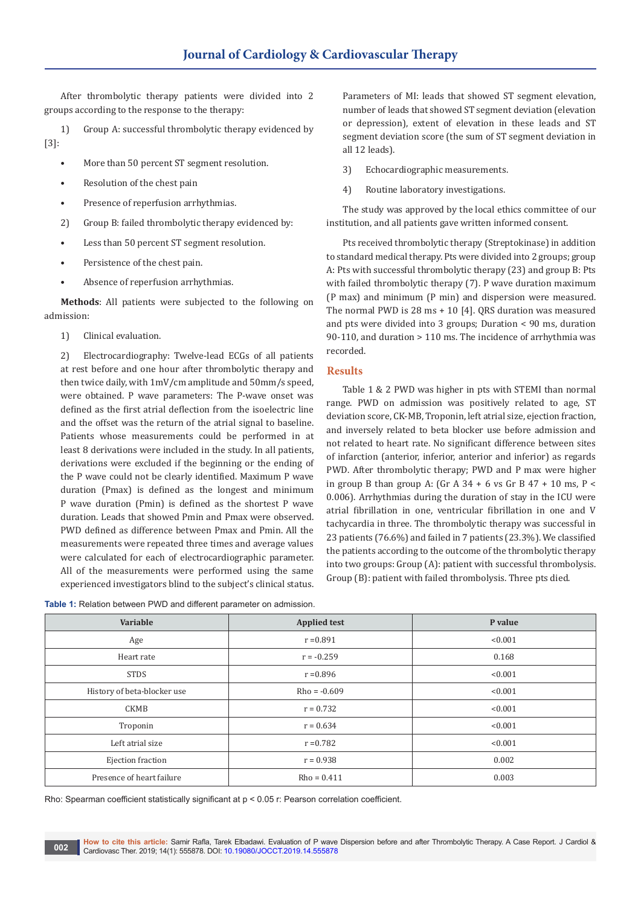After thrombolytic therapy patients were divided into 2 groups according to the response to the therapy:

1) Group A: successful thrombolytic therapy evidenced by [3]:

- More than 50 percent ST segment resolution.
- Resolution of the chest pain
- Presence of reperfusion arrhythmias.
- 2) Group B: failed thrombolytic therapy evidenced by:
- Less than 50 percent ST segment resolution.
- Persistence of the chest pain.
- Absence of reperfusion arrhythmias.

**Methods**: All patients were subjected to the following on admission:

1) Clinical evaluation.

2) Electrocardiography: Twelve-lead ECGs of all patients at rest before and one hour after thrombolytic therapy and then twice daily, with 1mV/cm amplitude and 50mm/s speed, were obtained. P wave parameters: The P-wave onset was defined as the first atrial deflection from the isoelectric line and the offset was the return of the atrial signal to baseline. Patients whose measurements could be performed in at least 8 derivations were included in the study. In all patients, derivations were excluded if the beginning or the ending of the P wave could not be clearly identified. Maximum P wave duration (Pmax) is defined as the longest and minimum P wave duration (Pmin) is defined as the shortest P wave duration. Leads that showed Pmin and Pmax were observed. PWD defined as difference between Pmax and Pmin. All the measurements were repeated three times and average values were calculated for each of electrocardiographic parameter. experienced investigators blind to the subject's clinical status.

All of the measurements were performed using the same

**Variable Applied test Applied test Applied test P** value Age  $r = 0.891$   $(0.001$ Heart rate  $r = -0.259$  0.168 STDS  $r = 0.896$   $\leq 0.001$ History of beta-blocker use  $Rho = 0.609$   $\leq 0.001$ CKMB  $r = 0.732$   $(0.001$ Troponin  $r = 0.634$   $\leq 0.001$ Left atrial size  $r = 0.782$  and  $r = 0.782$  and  $r = 0.001$ Ejection fraction  $r = 0.938$  and  $r = 0.938$  and  $r = 0.938$  and  $r = 0.002$  and  $r = 0.002$  and  $r = 0.002$  and  $r = 0.002$  and  $r = 0.002$  and  $r = 0.002$  and  $r = 0.002$  and  $r = 0.002$  and  $r = 0.002$  and  $r = 0.002$  and  $r = 0.00$ Presence of heart failure and the Rho = 0.411 and Rho = 0.411 and 0.003

**Table 1:** Relation between PWD and different parameter on admission.

Rho: Spearman coefficient statistically significant at p < 0.05 r: Pearson correlation coefficient.

**How to cite this article:** Samir Rafla, Tarek Elbadawi. Evaluation of P wave Dispersion before and after Thrombolytic Therapy. A Case Report. J Cardiol & Cardiovasc Ther. 2019; 14(1): 555878. DOI: [10.19080/JOCCT.2019.14.555878](http://dx.doi.org/10.19080/JOCCT.2019.14.555878) **002**

Parameters of MI: leads that showed ST segment elevation, number of leads that showed ST segment deviation (elevation or depression), extent of elevation in these leads and ST segment deviation score (the sum of ST segment deviation in all 12 leads).

- 3) Echocardiographic measurements.
- 4) Routine laboratory investigations.

The study was approved by the local ethics committee of our institution, and all patients gave written informed consent.

Pts received thrombolytic therapy (Streptokinase) in addition to standard medical therapy. Pts were divided into 2 groups; group A: Pts with successful thrombolytic therapy (23) and group B: Pts with failed thrombolytic therapy (7). P wave duration maximum (P max) and minimum (P min) and dispersion were measured. The normal PWD is 28 ms + 10 [4]. QRS duration was measured and pts were divided into 3 groups; Duration < 90 ms, duration 90-110, and duration > 110 ms. The incidence of arrhythmia was recorded.

## **Results**

Table 1 & 2 PWD was higher in pts with STEMI than normal range. PWD on admission was positively related to age, ST deviation score, CK-MB, Troponin, left atrial size, ejection fraction, and inversely related to beta blocker use before admission and not related to heart rate. No significant difference between sites of infarction (anterior, inferior, anterior and inferior) as regards PWD. After thrombolytic therapy; PWD and P max were higher in group B than group A: (Gr A  $34 + 6$  vs Gr B  $47 + 10$  ms, P < 0.006). Arrhythmias during the duration of stay in the ICU were atrial fibrillation in one, ventricular fibrillation in one and V tachycardia in three. The thrombolytic therapy was successful in 23 patients (76.6%) and failed in 7 patients (23.3%). We classified the patients according to the outcome of the thrombolytic therapy into two groups: Group (A): patient with successful thrombolysis. Group (B): patient with failed thrombolysis. Three pts died.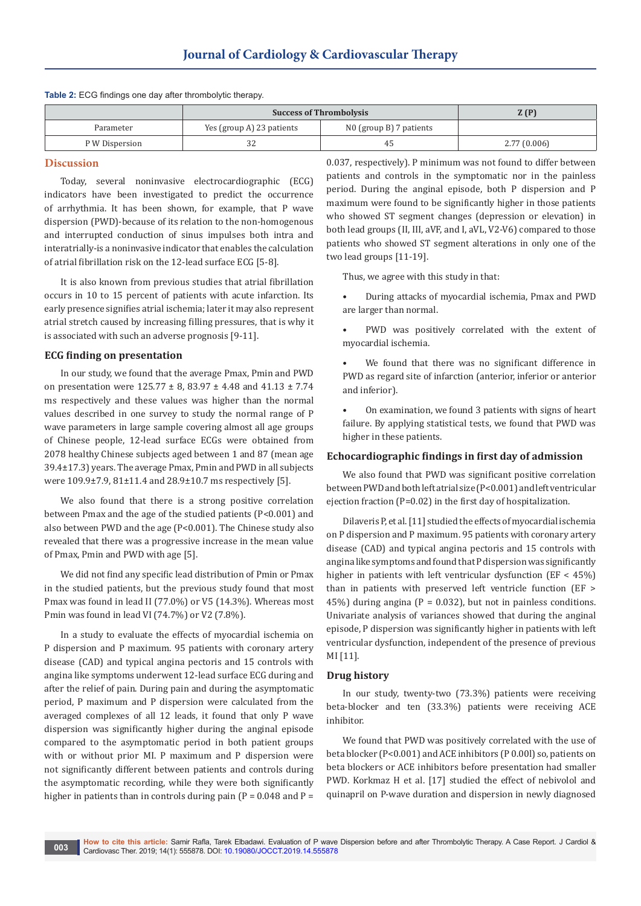|                | <b>Success of Thrombolysis</b> |                         | Z(P)        |
|----------------|--------------------------------|-------------------------|-------------|
| Parameter      | Yes (group A) 23 patients      | N0 (group B) 7 patients |             |
| P W Dispersion | 32                             | 4                       | 2.77(0.006) |

## **Discussion**

Today, several noninvasive electrocardiographic (ECG) indicators have been investigated to predict the occurrence of arrhythmia. It has been shown, for example, that P wave dispersion (PWD)-because of its relation to the non-homogenous and interrupted conduction of sinus impulses both intra and interatrially-is a noninvasive indicator that enables the calculation of atrial fibrillation risk on the 12-lead surface ECG [5-8].

**Table 2:** ECG findings one day after thrombolytic therapy.

It is also known from previous studies that atrial fibrillation occurs in 10 to 15 percent of patients with acute infarction. Its early presence signifies atrial ischemia; later it may also represent atrial stretch caused by increasing filling pressures, that is why it is associated with such an adverse prognosis [9-11].

#### **ECG finding on presentation**

In our study, we found that the average Pmax, Pmin and PWD on presentation were 125.77 ± 8, 83.97 ± 4.48 and 41.13 ± 7.74 ms respectively and these values was higher than the normal values described in one survey to study the normal range of P wave parameters in large sample covering almost all age groups of Chinese people, 12-lead surface ECGs were obtained from 2078 healthy Chinese subjects aged between 1 and 87 (mean age 39.4±17.3) years. The average Pmax, Pmin and PWD in all subjects were 109.9±7.9, 81±11.4 and 28.9±10.7 ms respectively [5].

We also found that there is a strong positive correlation between Pmax and the age of the studied patients (P<0.001) and also between PWD and the age (P<0.001). The Chinese study also revealed that there was a progressive increase in the mean value of Pmax, Pmin and PWD with age [5].

We did not find any specific lead distribution of Pmin or Pmax in the studied patients, but the previous study found that most Pmax was found in lead II (77.0%) or V5 (14.3%). Whereas most Pmin was found in lead VI (74.7%) or V2 (7.8%).

In a study to evaluate the effects of myocardial ischemia on P dispersion and P maximum. 95 patients with coronary artery disease (CAD) and typical angina pectoris and 15 controls with angina like symptoms underwent 12-lead surface ECG during and after the relief of pain. During pain and during the asymptomatic period, P maximum and P dispersion were calculated from the averaged complexes of all 12 leads, it found that only P wave dispersion was significantly higher during the anginal episode compared to the asymptomatic period in both patient groups with or without prior MI. P maximum and P dispersion were not significantly different between patients and controls during the asymptomatic recording, while they were both significantly higher in patients than in controls during pain ( $P = 0.048$  and  $P =$ 

0.037, respectively). P minimum was not found to differ between patients and controls in the symptomatic nor in the painless period. During the anginal episode, both P dispersion and P maximum were found to be significantly higher in those patients who showed ST segment changes (depression or elevation) in both lead groups (II, III, aVF, and I, aVL, V2-V6) compared to those patients who showed ST segment alterations in only one of the two lead groups [11-19].

Thus, we agree with this study in that:

- During attacks of myocardial ischemia, Pmax and PWD are larger than normal.
- PWD was positively correlated with the extent of myocardial ischemia.
- We found that there was no significant difference in PWD as regard site of infarction (anterior, inferior or anterior and inferior).
- On examination, we found 3 patients with signs of heart failure. By applying statistical tests, we found that PWD was higher in these patients.

#### **Echocardiographic findings in first day of admission**

We also found that PWD was significant positive correlation between PWD and both left atrial size (P<0.001) and left ventricular ejection fraction (P=0.02) in the first day of hospitalization.

Dilaveris P, et al. [11] studied the effects of myocardial ischemia on P dispersion and P maximum. 95 patients with coronary artery disease (CAD) and typical angina pectoris and 15 controls with angina like symptoms and found that P dispersion was significantly higher in patients with left ventricular dysfunction (EF < 45%) than in patients with preserved left ventricle function (EF > 45%) during angina ( $P = 0.032$ ), but not in painless conditions. Univariate analysis of variances showed that during the anginal episode, P dispersion was significantly higher in patients with left ventricular dysfunction, independent of the presence of previous MI [11].

### **Drug history**

In our study, twenty-two (73.3%) patients were receiving beta-blocker and ten (33.3%) patients were receiving ACE inhibitor.

We found that PWD was positively correlated with the use of beta blocker (P<0.001) and ACE inhibitors (P 0.00l) so, patients on beta blockers or ACE inhibitors before presentation had smaller PWD. Korkmaz H et al. [17] studied the effect of nebivolol and quinapril on P-wave duration and dispersion in newly diagnosed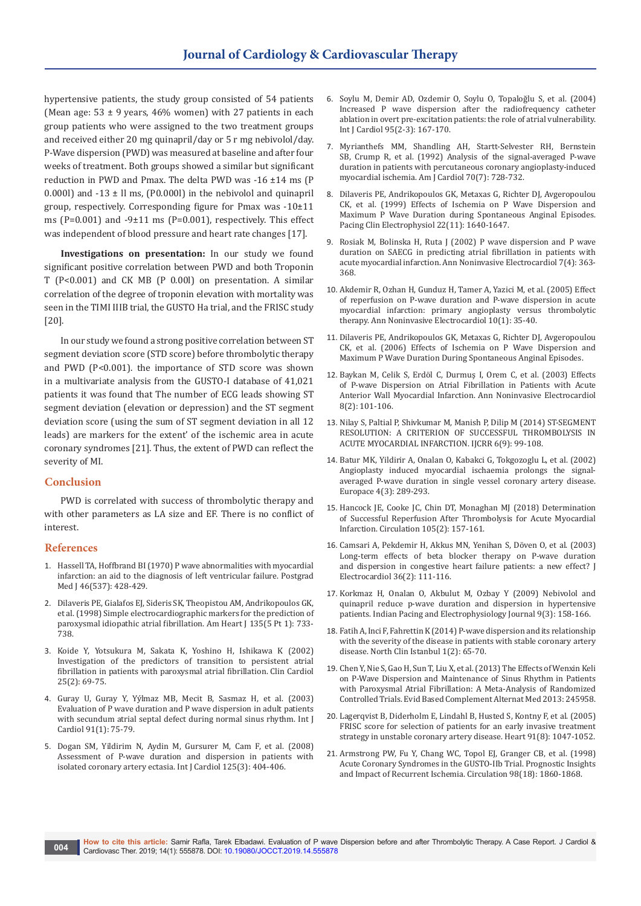hypertensive patients, the study group consisted of 54 patients (Mean age:  $53 \pm 9$  years, 46% women) with 27 patients in each group patients who were assigned to the two treatment groups and received either 20 mg quinapril/day or 5 r mg nebivolol/day. P-Wave dispersion (PWD) was measured at baseline and after four weeks of treatment. Both groups showed a similar but significant reduction in PWD and Pmax. The delta PWD was -16 ±14 ms (P 0.000l) and  $-13 \pm$  ll ms, (P0.000l) in the nebivolol and quinapril group, respectively. Corresponding figure for Pmax was -10±11 ms (P=0.001) and -9±11 ms (P=0.001), respectively. This effect was independent of blood pressure and heart rate changes [17].

**Investigations on presentation:** In our study we found significant positive correlation between PWD and both Troponin T (P<0.001) and CK MB (P 0.00l) on presentation. A similar correlation of the degree of troponin elevation with mortality was seen in the TIMI IIIB trial, the GUSTO Ha trial, and the FRISC study [20].

In our study we found a strong positive correlation between ST segment deviation score (STD score) before thrombolytic therapy and PWD (P<0.001). the importance of STD score was shown in a multivariate analysis from the GUSTO-I database of 41,021 patients it was found that The number of ECG leads showing ST segment deviation (elevation or depression) and the ST segment deviation score (using the sum of ST segment deviation in all 12 leads) are markers for the extent' of the ischemic area in acute coronary syndromes [21]. Thus, the extent of PWD can reflect the severity of MI.

## **Conclusion**

PWD is correlated with success of thrombolytic therapy and with other parameters as LA size and EF. There is no conflict of interest.

## **References**

- 1. [Hassell TA, Hoffbrand BI \(1970\) P wave abnormalities with myocardial](https://www.ncbi.nlm.nih.gov/pubmed/5476144/)  [infarction: an aid to the diagnosis of left ventricular failure. Postgrad](https://www.ncbi.nlm.nih.gov/pubmed/5476144/)  [Med J 46\(537\): 428-429.](https://www.ncbi.nlm.nih.gov/pubmed/5476144/)
- 2. [Dilaveris PE, Gialafos EJ, Sideris SK, Theopistou AM, Andrikopoulos GK,](https://www.ncbi.nlm.nih.gov/pubmed/9588401)  [et al. \(1998\) Simple electrocardiographic markers for the prediction of](https://www.ncbi.nlm.nih.gov/pubmed/9588401)  [paroxysmal idiopathic atrial fibrillation. Am Heart J 135\(5 Pt 1\): 733-](https://www.ncbi.nlm.nih.gov/pubmed/9588401) [738.](https://www.ncbi.nlm.nih.gov/pubmed/9588401)
- 3. [Koide Y, Yotsukura M, Sakata K, Yoshino H, Ishikawa K \(2002\)](https://www.ncbi.nlm.nih.gov/pubmed/11841153)  [Investigation of the predictors of transition to persistent atrial](https://www.ncbi.nlm.nih.gov/pubmed/11841153)  [fibrillation in patients with paroxysmal atrial fibrillation. Clin Cardiol](https://www.ncbi.nlm.nih.gov/pubmed/11841153)  [25\(2\): 69-75.](https://www.ncbi.nlm.nih.gov/pubmed/11841153)
- 4. [Guray U, Guray Y, Yýlmaz MB, Mecit B, Sasmaz H, et al. \(2003\)](https://www.ncbi.nlm.nih.gov/pubmed/12957732)  [Evaluation of P wave duration and P wave dispersion in adult patients](https://www.ncbi.nlm.nih.gov/pubmed/12957732)  [with secundum atrial septal defect during normal sinus rhythm. Int J](https://www.ncbi.nlm.nih.gov/pubmed/12957732)  [Cardiol 91\(1\): 75-79.](https://www.ncbi.nlm.nih.gov/pubmed/12957732)
- 5. [Dogan SM, Yildirim N, Aydin M, Gursurer M, Cam F, et al. \(2008\)](https://www.ncbi.nlm.nih.gov/pubmed/17434630)  [Assessment of P-wave duration and dispersion in patients with](https://www.ncbi.nlm.nih.gov/pubmed/17434630)  [isolated coronary artery ectasia. Int J Cardiol 125\(3\): 404-406.](https://www.ncbi.nlm.nih.gov/pubmed/17434630)
- 6. [Soylu M, Demir AD, Ozdemir O, Soylu O, Topaloğlu S, et al. \(2004\)](https://www.ncbi.nlm.nih.gov/pubmed/15193815)  [Increased P wave dispersion after the radiofrequency catheter](https://www.ncbi.nlm.nih.gov/pubmed/15193815)  [ablation in overt pre-excitation patients: the role of atrial vulnerability.](https://www.ncbi.nlm.nih.gov/pubmed/15193815)  [Int J Cardiol 95\(2-3\): 167-170.](https://www.ncbi.nlm.nih.gov/pubmed/15193815)
- 7. [Myrianthefs MM, Shandling AH, Startt-Selvester RH, Bernstein](https://www.ncbi.nlm.nih.gov/pubmed/1519521)  [SB, Crump R, et al. \(1992\) Analysis of the signal-averaged P-wave](https://www.ncbi.nlm.nih.gov/pubmed/1519521)  [duration in patients with percutaneous coronary angioplasty-induced](https://www.ncbi.nlm.nih.gov/pubmed/1519521)  [myocardial ischemia. Am J Cardiol 70\(7\): 728-732.](https://www.ncbi.nlm.nih.gov/pubmed/1519521)
- 8. [Dilaveris PE, Andrikopoulos GK, Metaxas G, Richter DJ, Avgeropoulou](https://www.ncbi.nlm.nih.gov/pubmed/10598968)  [CK, et al. \(1999\) Effects of Ischemia on P Wave Dispersion and](https://www.ncbi.nlm.nih.gov/pubmed/10598968)  [Maximum P Wave Duration during Spontaneous Anginal Episodes.](https://www.ncbi.nlm.nih.gov/pubmed/10598968)  [Pacing Clin Electrophysiol 22\(11\): 1640-1647.](https://www.ncbi.nlm.nih.gov/pubmed/10598968)
- 9. [Rosiak M, Bolinska H, Ruta J \(2002\) P wave dispersion and P wave](https://www.ncbi.nlm.nih.gov/pubmed/12431315)  [duration on SAECG in predicting atrial fibrillation in patients with](https://www.ncbi.nlm.nih.gov/pubmed/12431315)  [acute myocardial infarction. Ann Noninvasive Electrocardiol 7\(4\): 363-](https://www.ncbi.nlm.nih.gov/pubmed/12431315) [368.](https://www.ncbi.nlm.nih.gov/pubmed/12431315)
- 10. [Akdemir R, Ozhan H, Gunduz H, Tamer A, Yazici M, et al. \(2005\) Effect](https://www.ncbi.nlm.nih.gov/pubmed/15649235)  [of reperfusion on P-wave duration and P-wave dispersion in acute](https://www.ncbi.nlm.nih.gov/pubmed/15649235)  [myocardial infarction: primary angioplasty versus thrombolytic](https://www.ncbi.nlm.nih.gov/pubmed/15649235)  [therapy. Ann Noninvasive Electrocardiol 10\(1\): 35-40.](https://www.ncbi.nlm.nih.gov/pubmed/15649235)
- 11. Dilaveris PE, Andrikopoulos GK, Metaxas G, Richter DJ, Avgeropoulou CK, et al. (2006) Effects of Ischemia on P Wave Dispersion and Maximum P Wave Duration During Spontaneous Anginal Episodes.
- 12. [Baykan M, Celik S, Erdöl C, Durmuş I, Orem C, et al. \(2003\) Effects](https://www.ncbi.nlm.nih.gov/pubmed/12848789)  [of P-wave Dispersion on Atrial Fibrillation in Patients with Acute](https://www.ncbi.nlm.nih.gov/pubmed/12848789)  [Anterior Wall Myocardial Infarction. Ann Noninvasive Electrocardiol](https://www.ncbi.nlm.nih.gov/pubmed/12848789)  [8\(2\): 101-106.](https://www.ncbi.nlm.nih.gov/pubmed/12848789)
- 13. [Nilay S, Paltial P, Shivkumar M, Manish P, Dilip M \(2014\) ST-SEGMENT](https://www.scopemed.org/?mno=159606)  [RESOLUTION: A CRITERION OF SUCCESSFUL THROMBOLYSIS IN](https://www.scopemed.org/?mno=159606)  [ACUTE MYOCARDIAL INFARCTION. IJCRR 6\(9\): 99-108.](https://www.scopemed.org/?mno=159606)
- 14. [Batur MK, Yildirir A, Onalan O, Kabakci G, Tokgozoglu L, et al. \(2002\)](https://www.ncbi.nlm.nih.gov/pubmed/12134975)  [Angioplasty induced myocardial ischaemia prolongs the signal](https://www.ncbi.nlm.nih.gov/pubmed/12134975)[averaged P-wave duration in single vessel coronary artery disease.](https://www.ncbi.nlm.nih.gov/pubmed/12134975)  [Europace 4\(3\): 289-293.](https://www.ncbi.nlm.nih.gov/pubmed/12134975)
- 15. [Hancock JE, Cooke JC, Chin DT, Monaghan MJ \(2018\) Determination](https://www.ncbi.nlm.nih.gov/pubmed/11790694)  [of Successful Reperfusion After Thrombolysis for Acute Myocardial](https://www.ncbi.nlm.nih.gov/pubmed/11790694)  [Infarction. Circulation 105\(2\): 157-161.](https://www.ncbi.nlm.nih.gov/pubmed/11790694)
- 16. [Camsari A, Pekdemir H, Akkus MN, Yenihan S, Döven O, et al. \(2003\)](https://www.ncbi.nlm.nih.gov/pubmed/12764693)  [Long-term effects of beta blocker therapy on P-wave duration](https://www.ncbi.nlm.nih.gov/pubmed/12764693)  [and dispersion in congestive heart failure patients: a new effect? J](https://www.ncbi.nlm.nih.gov/pubmed/12764693)  [Electrocardiol 36\(2\): 111-116.](https://www.ncbi.nlm.nih.gov/pubmed/12764693)
- 17. [Korkmaz H, Onalan O, Akbulut M, Ozbay Y \(2009\) Nebivolol and](https://www.ncbi.nlm.nih.gov/pubmed/19471593/)  [quinapril reduce p-wave duration and dispersion in hypertensive](https://www.ncbi.nlm.nih.gov/pubmed/19471593/)  [patients. Indian Pacing and Electrophysiology Journal 9\(3\): 158-166.](https://www.ncbi.nlm.nih.gov/pubmed/19471593/)
- 18. Fatih A, Inci F, Fahrettin K (2014) P-wave dispersion and its relationship with the severity of the disease in patients with stable coronary artery disease. North Clin Istanbul 1(2): 65-70.
- 19. [Chen Y, Nie S, Gao H, Sun T, Liu X, et al. \(2013\) The Effects of Wenxin Keli](https://www.ncbi.nlm.nih.gov/pubmed/24368925/)  [on P-Wave Dispersion and Maintenance of Sinus Rhythm in Patients](https://www.ncbi.nlm.nih.gov/pubmed/24368925/)  [with Paroxysmal Atrial Fibrillation: A Meta-Analysis of Randomized](https://www.ncbi.nlm.nih.gov/pubmed/24368925/)  [Controlled Trials. Evid Based Complement Alternat Med 2013: 245958.](https://www.ncbi.nlm.nih.gov/pubmed/24368925/)
- 20. [Lagerqvist B, Diderholm E, Lindahl B, Husted S, Kontny F, et al. \(2005\)](https://www.ncbi.nlm.nih.gov/pubmed/16020594)  [FRISC score for selection of patients for an early invasive treatment](https://www.ncbi.nlm.nih.gov/pubmed/16020594)  [strategy in unstable coronary artery disease. Heart 91\(8\): 1047-1052.](https://www.ncbi.nlm.nih.gov/pubmed/16020594)
- 21. [Armstrong PW, Fu Y, Chang WC, Topol EJ, Granger CB, et al. \(1998\)](https://www.ncbi.nlm.nih.gov/pubmed/9799205)  [Acute Coronary Syndromes in the GUSTO-IIb Trial. Prognostic Insights](https://www.ncbi.nlm.nih.gov/pubmed/9799205)  [and Impact of Recurrent Ischemia. Circulation 98\(18\): 1860-1868.](https://www.ncbi.nlm.nih.gov/pubmed/9799205)